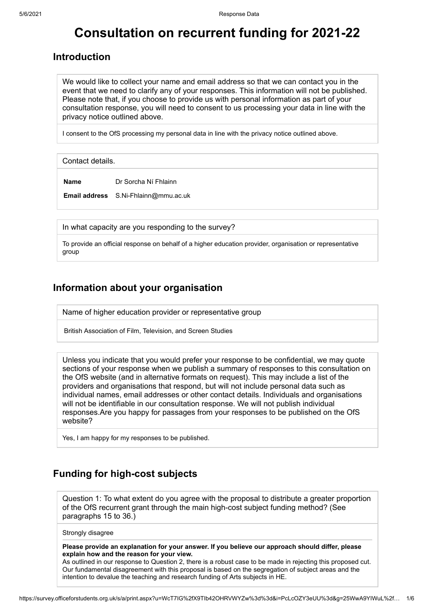# **Consultation on recurrent funding for 2021-22**

### **Introduction**

We would like to collect your name and email address so that we can contact you in the event that we need to clarify any of your responses. This information will not be published. Please note that, if you choose to provide us with personal information as part of your consultation response, you will need to consent to us processing your data in line with the privacy notice outlined above.

I consent to the OfS processing my personal data in line with the privacy notice outlined above.

Contact details.

**Name** Dr Sorcha Ní Fhlainn

**Email address** S.Ni-Fhlainn@mmu.ac.uk

In what capacity are you responding to the survey?

To provide an official response on behalf of a higher education provider, organisation or representative group

### **Information about your organisation**

Name of higher education provider or representative group

British Association of Film, Television, and Screen Studies

Unless you indicate that you would prefer your response to be confidential, we may quote sections of your response when we publish a summary of responses to this consultation on the OfS website (and in alternative formats on request). This may include a list of the providers and organisations that respond, but will not include personal data such as individual names, email addresses or other contact details. Individuals and organisations will not be identifiable in our consultation response. We will not publish individual responses.Are you happy for passages from your responses to be published on the OfS website?

Yes, I am happy for my responses to be published.

# **Funding for high-cost subjects**

Question 1: To what extent do you agree with the proposal to distribute a greater proportion of the OfS recurrent grant through the main high-cost subject funding method? (See paragraphs 15 to 36.)

Strongly disagree

**Please provide an explanation for your answer. If you believe our approach should differ, please explain how and the reason for your view.**

As outlined in our response to Question 2, there is a robust case to be made in rejecting this proposed cut. Our fundamental disagreement with this proposal is based on the segregation of subject areas and the intention to devalue the teaching and research funding of Arts subjects in HE.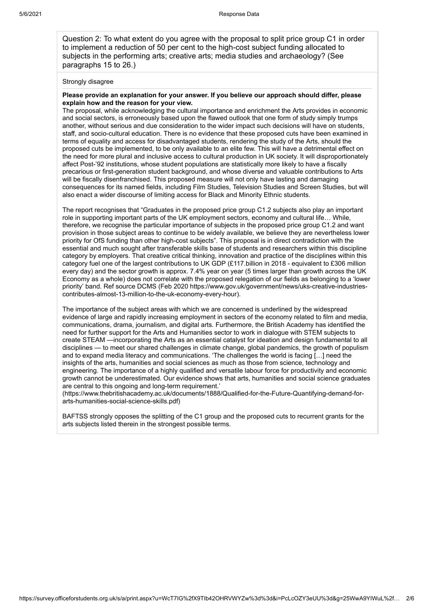Question 2: To what extent do you agree with the proposal to split price group C1 in order to implement a reduction of 50 per cent to the high-cost subject funding allocated to subjects in the performing arts; creative arts; media studies and archaeology? (See paragraphs 15 to 26.)

#### Strongly disagree

#### **Please provide an explanation for your answer. If you believe our approach should differ, please explain how and the reason for your view.**

The proposal, while acknowledging the cultural importance and enrichment the Arts provides in economic and social sectors, is erroneously based upon the flawed outlook that one form of study simply trumps another, without serious and due consideration to the wider impact such decisions will have on students, staff, and socio-cultural education. There is no evidence that these proposed cuts have been examined in terms of equality and access for disadvantaged students, rendering the study of the Arts, should the proposed cuts be implemented, to be only available to an elite few. This will have a detrimental effect on the need for more plural and inclusive access to cultural production in UK society. It will disproportionately affect Post-'92 institutions, whose student populations are statistically more likely to have a fiscally precarious or first-generation student background, and whose diverse and valuable contributions to Arts will be fiscally disenfranchised. This proposed measure will not only have lasting and damaging consequences for its named fields, including Film Studies, Television Studies and Screen Studies, but will also enact a wider discourse of limiting access for Black and Minority Ethnic students.

The report recognises that "Graduates in the proposed price group C1.2 subjects also play an important role in supporting important parts of the UK employment sectors, economy and cultural life… While, therefore, we recognise the particular importance of subjects in the proposed price group C1.2 and want provision in those subject areas to continue to be widely available, we believe they are nevertheless lower priority for OfS funding than other high-cost subjects". This proposal is in direct contradiction with the essential and much sought after transferable skills base of students and researchers within this discipline category by employers. That creative critical thinking, innovation and practice of the disciplines within this category fuel one of the largest contributions to UK GDP (£117.billion in 2018 - equivalent to £306 million every day) and the sector growth is approx. 7.4% year on year (5 times larger than growth across the UK Economy as a whole) does not correlate with the proposed relegation of our fields as belonging to a 'lower priority' band. Ref source DCMS (Feb 2020 https://www.gov.uk/government/news/uks-creative-industriescontributes-almost-13-million-to-the-uk-economy-every-hour).

The importance of the subject areas with which we are concerned is underlined by the widespread evidence of large and rapidly increasing employment in sectors of the economy related to film and media, communications, drama, journalism, and digital arts. Furthermore, the British Academy has identified the need for further support for the Arts and Humanities sector to work in dialogue with STEM subjects to create STEAM —incorporating the Arts as an essential catalyst for ideation and design fundamental to all disciplines — to meet our shared challenges in climate change, global pandemics, the growth of populism and to expand media literacy and communications. 'The challenges the world is facing […] need the insights of the arts, humanities and social sciences as much as those from science, technology and engineering. The importance of a highly qualified and versatile labour force for productivity and economic growth cannot be underestimated. Our evidence shows that arts, humanities and social science graduates are central to this ongoing and long-term requirement.'

(https://www.thebritishacademy.ac.uk/documents/1888/Qualified-for-the-Future-Quantifying-demand-forarts-humanities-social-science-skills.pdf)

BAFTSS strongly opposes the splitting of the C1 group and the proposed cuts to recurrent grants for the arts subjects listed therein in the strongest possible terms.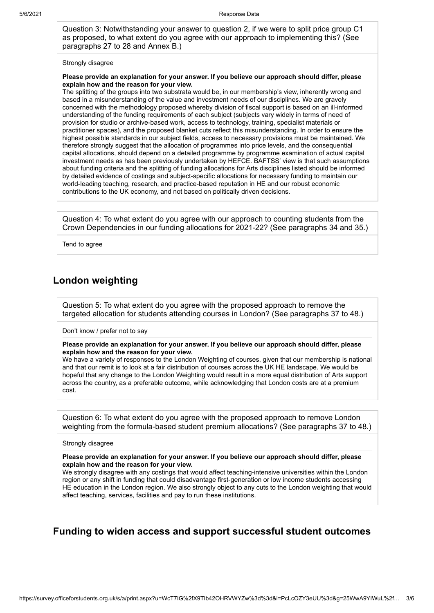Question 3: Notwithstanding your answer to question 2, if we were to split price group C1 as proposed, to what extent do you agree with our approach to implementing this? (See paragraphs 27 to 28 and Annex B.)

#### Strongly disagree

#### **Please provide an explanation for your answer. If you believe our approach should differ, please explain how and the reason for your view.**

The splitting of the groups into two substrata would be, in our membership's view, inherently wrong and based in a misunderstanding of the value and investment needs of our disciplines. We are gravely concerned with the methodology proposed whereby division of fiscal support is based on an ill-informed understanding of the funding requirements of each subject (subjects vary widely in terms of need of provision for studio or archive-based work, access to technology, training, specialist materials or practitioner spaces), and the proposed blanket cuts reflect this misunderstanding. In order to ensure the highest possible standards in our subject fields, access to necessary provisions must be maintained. We therefore strongly suggest that the allocation of programmes into price levels, and the consequential capital allocations, should depend on a detailed programme by programme examination of actual capital investment needs as has been previously undertaken by HEFCE. BAFTSS' view is that such assumptions about funding criteria and the splitting of funding allocations for Arts disciplines listed should be informed by detailed evidence of costings and subject-specific allocations for necessary funding to maintain our world-leading teaching, research, and practice-based reputation in HE and our robust economic contributions to the UK economy, and not based on politically driven decisions.

Question 4: To what extent do you agree with our approach to counting students from the Crown Dependencies in our funding allocations for 2021-22? (See paragraphs 34 and 35.)

Tend to agree

### **London weighting**

Question 5: To what extent do you agree with the proposed approach to remove the targeted allocation for students attending courses in London? (See paragraphs 37 to 48.)

Don't know / prefer not to say

**Please provide an explanation for your answer. If you believe our approach should differ, please explain how and the reason for your view.**

We have a variety of responses to the London Weighting of courses, given that our membership is national and that our remit is to look at a fair distribution of courses across the UK HE landscape. We would be hopeful that any change to the London Weighting would result in a more equal distribution of Arts support across the country, as a preferable outcome, while acknowledging that London costs are at a premium cost.

Question 6: To what extent do you agree with the proposed approach to remove London weighting from the formula-based student premium allocations? (See paragraphs 37 to 48.)

Strongly disagree

**Please provide an explanation for your answer. If you believe our approach should differ, please explain how and the reason for your view.**

We strongly disagree with any costings that would affect teaching-intensive universities within the London region or any shift in funding that could disadvantage first-generation or low income students accessing HE education in the London region. We also strongly object to any cuts to the London weighting that would affect teaching, services, facilities and pay to run these institutions.

# **Funding to widen access and support successful student outcomes**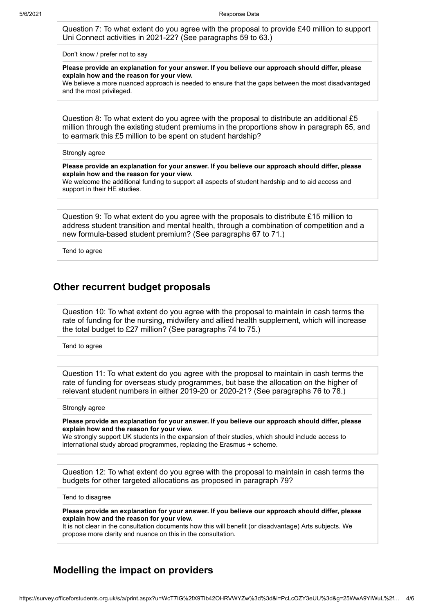Question 7: To what extent do you agree with the proposal to provide £40 million to support Uni Connect activities in 2021-22? (See paragraphs 59 to 63.)

Don't know / prefer not to say

**Please provide an explanation for your answer. If you believe our approach should differ, please explain how and the reason for your view.**

We believe a more nuanced approach is needed to ensure that the gaps between the most disadvantaged and the most privileged.

Question 8: To what extent do you agree with the proposal to distribute an additional £5 million through the existing student premiums in the proportions show in paragraph 65, and to earmark this £5 million to be spent on student hardship?

#### Strongly agree

**Please provide an explanation for your answer. If you believe our approach should differ, please explain how and the reason for your view.**

We welcome the additional funding to support all aspects of student hardship and to aid access and support in their HE studies.

Question 9: To what extent do you agree with the proposals to distribute £15 million to address student transition and mental health, through a combination of competition and a new formula-based student premium? (See paragraphs 67 to 71.)

Tend to agree

#### **Other recurrent budget proposals**

Question 10: To what extent do you agree with the proposal to maintain in cash terms the rate of funding for the nursing, midwifery and allied health supplement, which will increase the total budget to £27 million? (See paragraphs 74 to 75.)

Tend to agree

Question 11: To what extent do you agree with the proposal to maintain in cash terms the rate of funding for overseas study programmes, but base the allocation on the higher of relevant student numbers in either 2019-20 or 2020-21? (See paragraphs 76 to 78.)

#### Strongly agree

**Please provide an explanation for your answer. If you believe our approach should differ, please explain how and the reason for your view.**

We strongly support UK students in the expansion of their studies, which should include access to international study abroad programmes, replacing the Erasmus + scheme.

Question 12: To what extent do you agree with the proposal to maintain in cash terms the budgets for other targeted allocations as proposed in paragraph 79?

Tend to disagree

**Please provide an explanation for your answer. If you believe our approach should differ, please explain how and the reason for your view.**

It is not clear in the consultation documents how this will benefit (or disadvantage) Arts subjects. We propose more clarity and nuance on this in the consultation.

### **Modelling the impact on providers**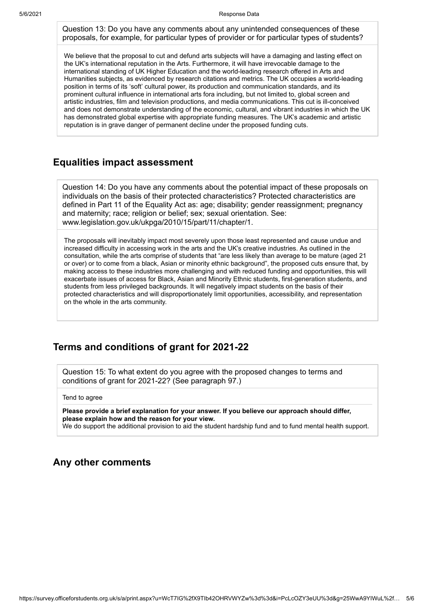Question 13: Do you have any comments about any unintended consequences of these proposals, for example, for particular types of provider or for particular types of students?

We believe that the proposal to cut and defund arts subjects will have a damaging and lasting effect on the UK's international reputation in the Arts. Furthermore, it will have irrevocable damage to the international standing of UK Higher Education and the world-leading research offered in Arts and Humanities subjects, as evidenced by research citations and metrics. The UK occupies a world-leading position in terms of its 'soft' cultural power, its production and communication standards, and its prominent cultural influence in international arts fora including, but not limited to, global screen and artistic industries, film and television productions, and media communications. This cut is ill-conceived and does not demonstrate understanding of the economic, cultural, and vibrant industries in which the UK has demonstrated global expertise with appropriate funding measures. The UK's academic and artistic reputation is in grave danger of permanent decline under the proposed funding cuts.

### **Equalities impact assessment**

Question 14: Do you have any comments about the potential impact of these proposals on individuals on the basis of their protected characteristics? Protected characteristics are defined in Part 11 of the Equality Act as: age; disability; gender reassignment; pregnancy and maternity; race; religion or belief; sex; sexual orientation. See: www.legislation.gov.uk/ukpga/2010/15/part/11/chapter/1.

The proposals will inevitably impact most severely upon those least represented and cause undue and increased difficulty in accessing work in the arts and the UK's creative industries. As outlined in the consultation, while the arts comprise of students that "are less likely than average to be mature (aged 21 or over) or to come from a black, Asian or minority ethnic background", the proposed cuts ensure that, by making access to these industries more challenging and with reduced funding and opportunities, this will exacerbate issues of access for Black, Asian and Minority Ethnic students, first-generation students, and students from less privileged backgrounds. It will negatively impact students on the basis of their protected characteristics and will disproportionately limit opportunities, accessibility, and representation on the whole in the arts community.

# **Terms and conditions of grant for 2021-22**

Question 15: To what extent do you agree with the proposed changes to terms and conditions of grant for 2021-22? (See paragraph 97.)

Tend to agree

**Please provide a brief explanation for your answer. If you believe our approach should differ, please explain how and the reason for your view.** We do support the additional provision to aid the student hardship fund and to fund mental health support.

### **Any other comments**